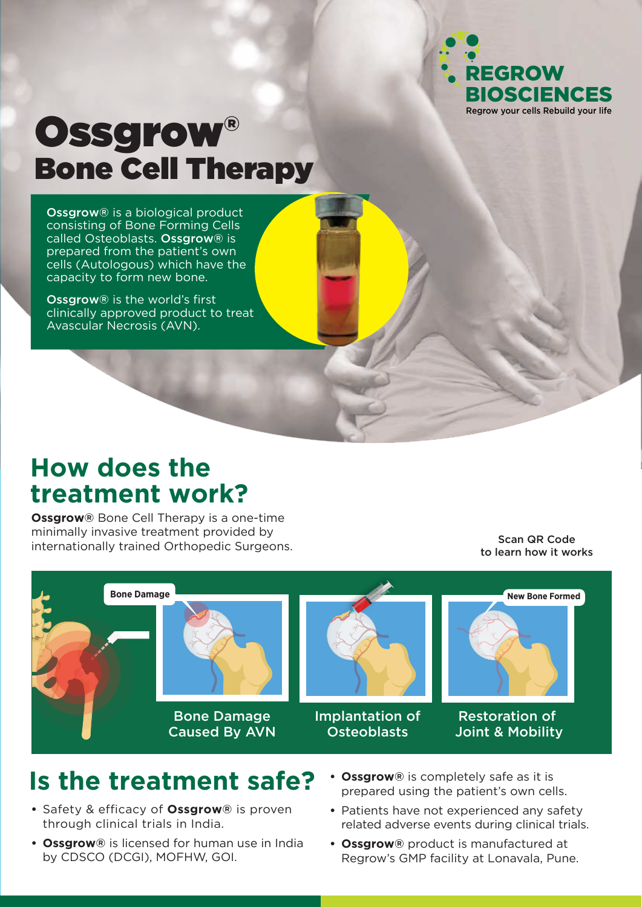

# Ossgrow® Bone Cell Therapy

Ossgrow® is a biological product consisting of Bone Forming Cells called Osteoblasts. Ossgrow® is prepared from the patient's own cells (Autologous) which have the capacity to form new bone.

Ossgrow® is the world's first clinically approved product to treat Avascular Necrosis (AVN).

### **How does the treatment work?**

**Ossgrow®** Bone Cell Therapy is a one-time minimally invasive treatment provided by internationally trained Orthopedic Surgeons.

Scan QR Code to learn how it works



## **Is the treatment safe?**

- **•** Safety & efficacy of **Ossgrow®** is proven through clinical trials in India.
- **Ossgrow®** is licensed for human use in India by CDSCO (DCGI), MOFHW, GOI.
- **Ossgrow®** is completely safe as it is prepared using the patient's own cells.
- **•** Patients have not experienced any safety related adverse events during clinical trials.
- **Ossgrow®** product is manufactured at Regrow's GMP facility at Lonavala, Pune.